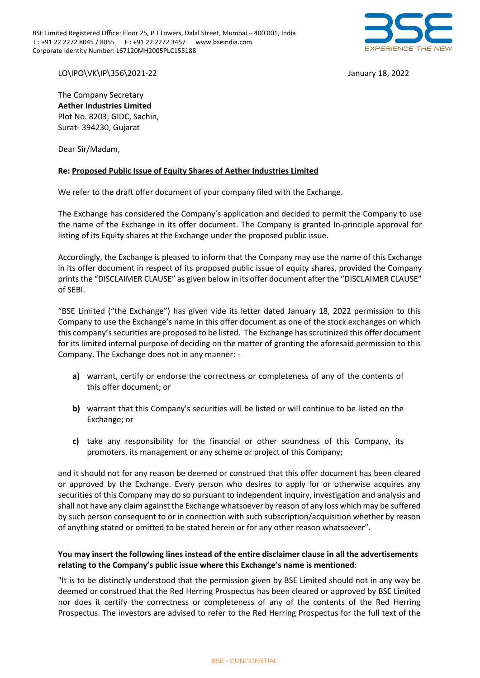BSE Limited Registered Office: Floor 25, P J Towers, Dalal Street, Mumbai – 400 001, India T : +91 22 2272 8045 / 8055 F : +91 22 2272 3457 www.bseindia.com Corporate Identity Number: L67120MH2005PLC155188



LO\IPO\VK\IP\356\2021-22 January 18, 2022

The Company Secretary **Aether Industries Limited** Plot No. 8203, GIDC, Sachin, Surat- 394230, Gujarat

Dear Sir/Madam,

## **Re: Proposed Public Issue of Equity Shares of Aether Industries Limited**

We refer to the draft offer document of your company filed with the Exchange.

The Exchange has considered the Company's application and decided to permit the Company to use the name of the Exchange in its offer document. The Company is granted In-principle approval for listing of its Equity shares at the Exchange under the proposed public issue.

Accordingly, the Exchange is pleased to inform that the Company may use the name of this Exchange in its offer document in respect of its proposed public issue of equity shares, provided the Company prints the "DISCLAIMER CLAUSE" as given below in its offer document after the "DISCLAIMER CLAUSE" of SEBI.

"BSE Limited ("the Exchange") has given vide its letter dated January 18, 2022 permission to this Company to use the Exchange's name in this offer document as one of the stock exchanges on which this company's securities are proposed to be listed. The Exchange has scrutinized this offer document for its limited internal purpose of deciding on the matter of granting the aforesaid permission to this Company. The Exchange does not in any manner: -

- **a)** warrant, certify or endorse the correctness or completeness of any of the contents of this offer document; or
- **b)** warrant that this Company's securities will be listed or will continue to be listed on the Exchange; or
- **c)** take any responsibility for the financial or other soundness of this Company, its promoters, its management or any scheme or project of this Company;

and it should not for any reason be deemed or construed that this offer document has been cleared or approved by the Exchange. Every person who desires to apply for or otherwise acquires any securities of this Company may do so pursuant to independent inquiry, investigation and analysis and shall not have any claim against the Exchange whatsoever by reason of any loss which may be suffered by such person consequent to or in connection with such subscription/acquisition whether by reason of anything stated or omitted to be stated herein or for any other reason whatsoever".

## **You may insert the following lines instead of the entire disclaimer clause in all the advertisements relating to the Company's public issue where this Exchange's name is mentioned**:

"It is to be distinctly understood that the permission given by BSE Limited should not in any way be deemed or construed that the Red Herring Prospectus has been cleared or approved by BSE Limited nor does it certify the correctness or completeness of any of the contents of the Red Herring Prospectus. The investors are advised to refer to the Red Herring Prospectus for the full text of the